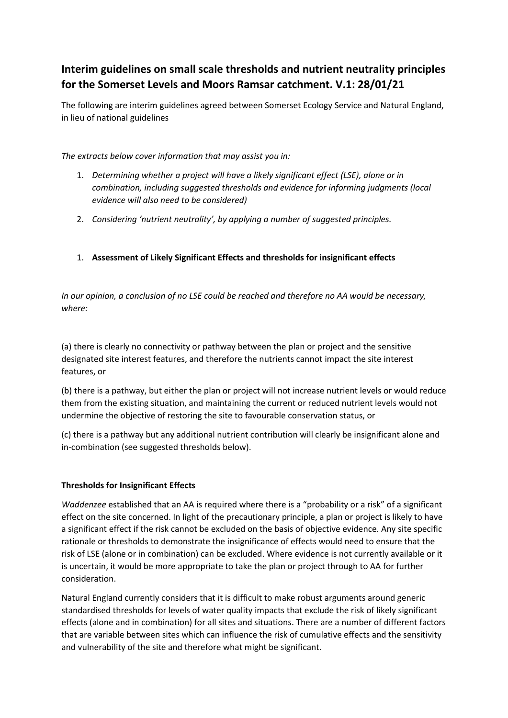# Interim guidelines on small scale thresholds and nutrient neutrality principles for the Somerset Levels and Moors Ramsar catchment. V.1: 28/01/21

The following are interim guidelines agreed between Somerset Ecology Service and Natural England, in lieu of national guidelines

The extracts below cover information that may assist you in:

- 1. Determining whether a project will have a likely significant effect (LSE), alone or in combination, including suggested thresholds and evidence for informing judgments (local evidence will also need to be considered)
- 2. Considering 'nutrient neutrality', by applying a number of suggested principles.
- 1. Assessment of Likely Significant Effects and thresholds for insignificant effects

In our opinion, a conclusion of no LSE could be reached and therefore no AA would be necessary, where:

(a) there is clearly no connectivity or pathway between the plan or project and the sensitive designated site interest features, and therefore the nutrients cannot impact the site interest features, or

(b) there is a pathway, but either the plan or project will not increase nutrient levels or would reduce them from the existing situation, and maintaining the current or reduced nutrient levels would not undermine the objective of restoring the site to favourable conservation status, or

(c) there is a pathway but any additional nutrient contribution will clearly be insignificant alone and in-combination (see suggested thresholds below).

# Thresholds for Insignificant Effects

Waddenzee established that an AA is required where there is a "probability or a risk" of a significant effect on the site concerned. In light of the precautionary principle, a plan or project is likely to have a significant effect if the risk cannot be excluded on the basis of objective evidence. Any site specific rationale or thresholds to demonstrate the insignificance of effects would need to ensure that the risk of LSE (alone or in combination) can be excluded. Where evidence is not currently available or it is uncertain, it would be more appropriate to take the plan or project through to AA for further consideration.

Natural England currently considers that it is difficult to make robust arguments around generic standardised thresholds for levels of water quality impacts that exclude the risk of likely significant effects (alone and in combination) for all sites and situations. There are a number of different factors that are variable between sites which can influence the risk of cumulative effects and the sensitivity and vulnerability of the site and therefore what might be significant.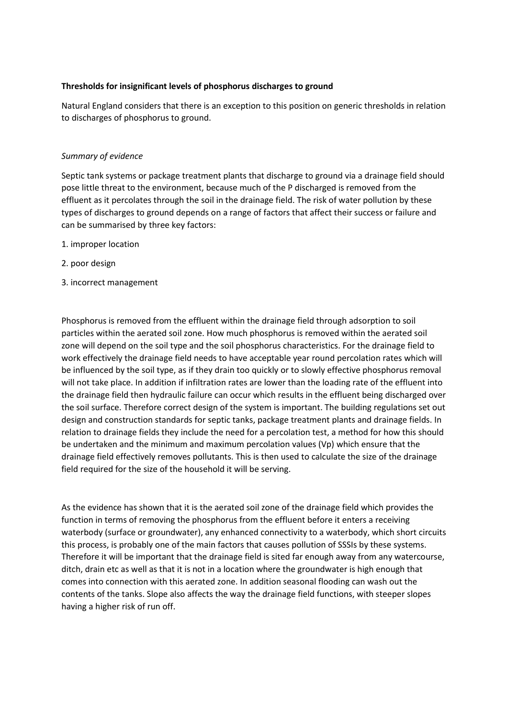## Thresholds for insignificant levels of phosphorus discharges to ground

Natural England considers that there is an exception to this position on generic thresholds in relation to discharges of phosphorus to ground.

#### Summary of evidence

Septic tank systems or package treatment plants that discharge to ground via a drainage field should pose little threat to the environment, because much of the P discharged is removed from the effluent as it percolates through the soil in the drainage field. The risk of water pollution by these types of discharges to ground depends on a range of factors that affect their success or failure and can be summarised by three key factors:

- 1. improper location
- 2. poor design
- 3. incorrect management

Phosphorus is removed from the effluent within the drainage field through adsorption to soil particles within the aerated soil zone. How much phosphorus is removed within the aerated soil zone will depend on the soil type and the soil phosphorus characteristics. For the drainage field to work effectively the drainage field needs to have acceptable year round percolation rates which will be influenced by the soil type, as if they drain too quickly or to slowly effective phosphorus removal will not take place. In addition if infiltration rates are lower than the loading rate of the effluent into the drainage field then hydraulic failure can occur which results in the effluent being discharged over the soil surface. Therefore correct design of the system is important. The building regulations set out design and construction standards for septic tanks, package treatment plants and drainage fields. In relation to drainage fields they include the need for a percolation test, a method for how this should be undertaken and the minimum and maximum percolation values (Vp) which ensure that the drainage field effectively removes pollutants. This is then used to calculate the size of the drainage field required for the size of the household it will be serving.

As the evidence has shown that it is the aerated soil zone of the drainage field which provides the function in terms of removing the phosphorus from the effluent before it enters a receiving waterbody (surface or groundwater), any enhanced connectivity to a waterbody, which short circuits this process, is probably one of the main factors that causes pollution of SSSIs by these systems. Therefore it will be important that the drainage field is sited far enough away from any watercourse, ditch, drain etc as well as that it is not in a location where the groundwater is high enough that comes into connection with this aerated zone. In addition seasonal flooding can wash out the contents of the tanks. Slope also affects the way the drainage field functions, with steeper slopes having a higher risk of run off.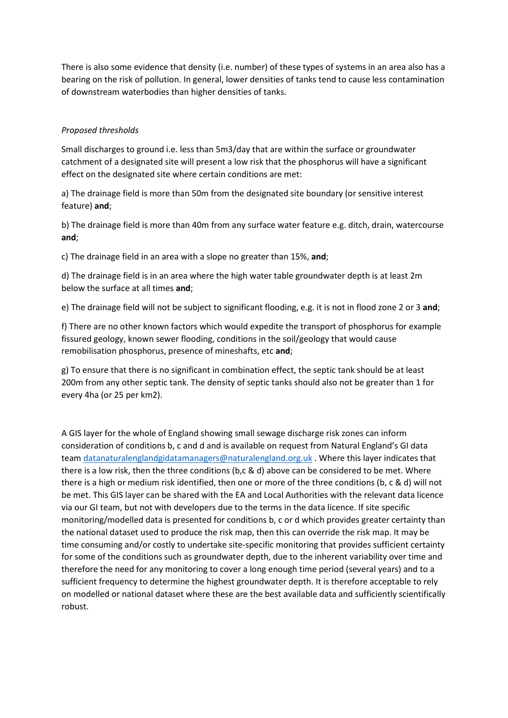There is also some evidence that density (i.e. number) of these types of systems in an area also has a bearing on the risk of pollution. In general, lower densities of tanks tend to cause less contamination of downstream waterbodies than higher densities of tanks.

## Proposed thresholds

Small discharges to ground i.e. less than 5m3/day that are within the surface or groundwater catchment of a designated site will present a low risk that the phosphorus will have a significant effect on the designated site where certain conditions are met:

a) The drainage field is more than 50m from the designated site boundary (or sensitive interest feature) and;

b) The drainage field is more than 40m from any surface water feature e.g. ditch, drain, watercourse and;

c) The drainage field in an area with a slope no greater than 15%, and;

d) The drainage field is in an area where the high water table groundwater depth is at least 2m below the surface at all times and;

e) The drainage field will not be subject to significant flooding, e.g. it is not in flood zone 2 or 3 and;

f) There are no other known factors which would expedite the transport of phosphorus for example fissured geology, known sewer flooding, conditions in the soil/geology that would cause remobilisation phosphorus, presence of mineshafts, etc and;

g) To ensure that there is no significant in combination effect, the septic tank should be at least 200m from any other septic tank. The density of septic tanks should also not be greater than 1 for every 4ha (or 25 per km2).

A GIS layer for the whole of England showing small sewage discharge risk zones can inform consideration of conditions b, c and d and is available on request from Natural England's GI data team datanaturalenglandgidatamanagers@naturalengland.org.uk . Where this layer indicates that there is a low risk, then the three conditions (b,c & d) above can be considered to be met. Where there is a high or medium risk identified, then one or more of the three conditions (b, c & d) will not be met. This GIS layer can be shared with the EA and Local Authorities with the relevant data licence via our GI team, but not with developers due to the terms in the data licence. If site specific monitoring/modelled data is presented for conditions b, c or d which provides greater certainty than the national dataset used to produce the risk map, then this can override the risk map. It may be time consuming and/or costly to undertake site-specific monitoring that provides sufficient certainty for some of the conditions such as groundwater depth, due to the inherent variability over time and therefore the need for any monitoring to cover a long enough time period (several years) and to a sufficient frequency to determine the highest groundwater depth. It is therefore acceptable to rely on modelled or national dataset where these are the best available data and sufficiently scientifically robust.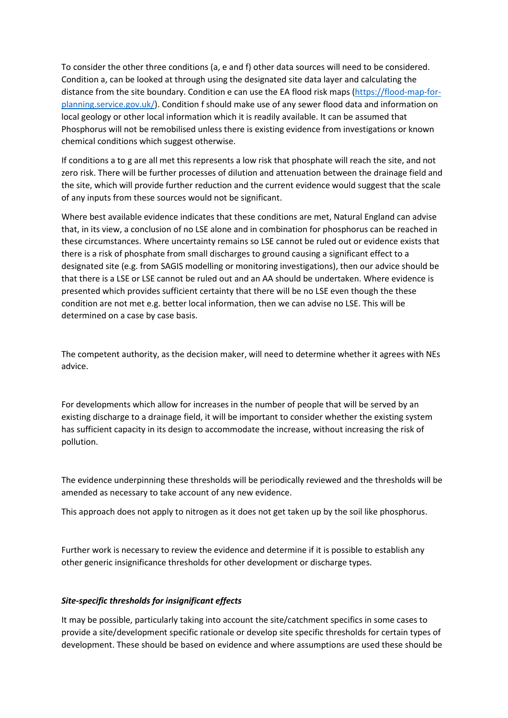To consider the other three conditions (a, e and f) other data sources will need to be considered. Condition a, can be looked at through using the designated site data layer and calculating the distance from the site boundary. Condition e can use the EA flood risk maps (https://flood-map-forplanning.service.gov.uk/). Condition f should make use of any sewer flood data and information on local geology or other local information which it is readily available. It can be assumed that Phosphorus will not be remobilised unless there is existing evidence from investigations or known chemical conditions which suggest otherwise.

If conditions a to g are all met this represents a low risk that phosphate will reach the site, and not zero risk. There will be further processes of dilution and attenuation between the drainage field and the site, which will provide further reduction and the current evidence would suggest that the scale of any inputs from these sources would not be significant.

Where best available evidence indicates that these conditions are met, Natural England can advise that, in its view, a conclusion of no LSE alone and in combination for phosphorus can be reached in these circumstances. Where uncertainty remains so LSE cannot be ruled out or evidence exists that there is a risk of phosphate from small discharges to ground causing a significant effect to a designated site (e.g. from SAGIS modelling or monitoring investigations), then our advice should be that there is a LSE or LSE cannot be ruled out and an AA should be undertaken. Where evidence is presented which provides sufficient certainty that there will be no LSE even though the these condition are not met e.g. better local information, then we can advise no LSE. This will be determined on a case by case basis.

The competent authority, as the decision maker, will need to determine whether it agrees with NEs advice.

For developments which allow for increases in the number of people that will be served by an existing discharge to a drainage field, it will be important to consider whether the existing system has sufficient capacity in its design to accommodate the increase, without increasing the risk of pollution.

The evidence underpinning these thresholds will be periodically reviewed and the thresholds will be amended as necessary to take account of any new evidence.

This approach does not apply to nitrogen as it does not get taken up by the soil like phosphorus.

Further work is necessary to review the evidence and determine if it is possible to establish any other generic insignificance thresholds for other development or discharge types.

# Site-specific thresholds for insignificant effects

It may be possible, particularly taking into account the site/catchment specifics in some cases to provide a site/development specific rationale or develop site specific thresholds for certain types of development. These should be based on evidence and where assumptions are used these should be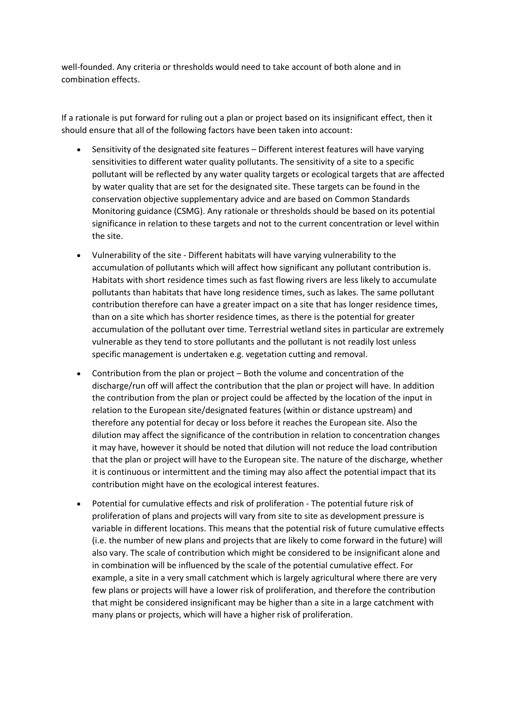well-founded. Any criteria or thresholds would need to take account of both alone and in combination effects.

If a rationale is put forward for ruling out a plan or project based on its insignificant effect, then it should ensure that all of the following factors have been taken into account:

- Sensitivity of the designated site features Different interest features will have varying sensitivities to different water quality pollutants. The sensitivity of a site to a specific pollutant will be reflected by any water quality targets or ecological targets that are affected by water quality that are set for the designated site. These targets can be found in the conservation objective supplementary advice and are based on Common Standards Monitoring guidance (CSMG). Any rationale or thresholds should be based on its potential significance in relation to these targets and not to the current concentration or level within the site.
- Vulnerability of the site Different habitats will have varying vulnerability to the accumulation of pollutants which will affect how significant any pollutant contribution is. Habitats with short residence times such as fast flowing rivers are less likely to accumulate pollutants than habitats that have long residence times, such as lakes. The same pollutant contribution therefore can have a greater impact on a site that has longer residence times, than on a site which has shorter residence times, as there is the potential for greater accumulation of the pollutant over time. Terrestrial wetland sites in particular are extremely vulnerable as they tend to store pollutants and the pollutant is not readily lost unless specific management is undertaken e.g. vegetation cutting and removal.
- Contribution from the plan or project Both the volume and concentration of the discharge/run off will affect the contribution that the plan or project will have. In addition the contribution from the plan or project could be affected by the location of the input in relation to the European site/designated features (within or distance upstream) and therefore any potential for decay or loss before it reaches the European site. Also the dilution may affect the significance of the contribution in relation to concentration changes it may have, however it should be noted that dilution will not reduce the load contribution that the plan or project will have to the European site. The nature of the discharge, whether it is continuous or intermittent and the timing may also affect the potential impact that its contribution might have on the ecological interest features.
- Potential for cumulative effects and risk of proliferation The potential future risk of proliferation of plans and projects will vary from site to site as development pressure is variable in different locations. This means that the potential risk of future cumulative effects (i.e. the number of new plans and projects that are likely to come forward in the future) will also vary. The scale of contribution which might be considered to be insignificant alone and in combination will be influenced by the scale of the potential cumulative effect. For example, a site in a very small catchment which is largely agricultural where there are very few plans or projects will have a lower risk of proliferation, and therefore the contribution that might be considered insignificant may be higher than a site in a large catchment with many plans or projects, which will have a higher risk of proliferation.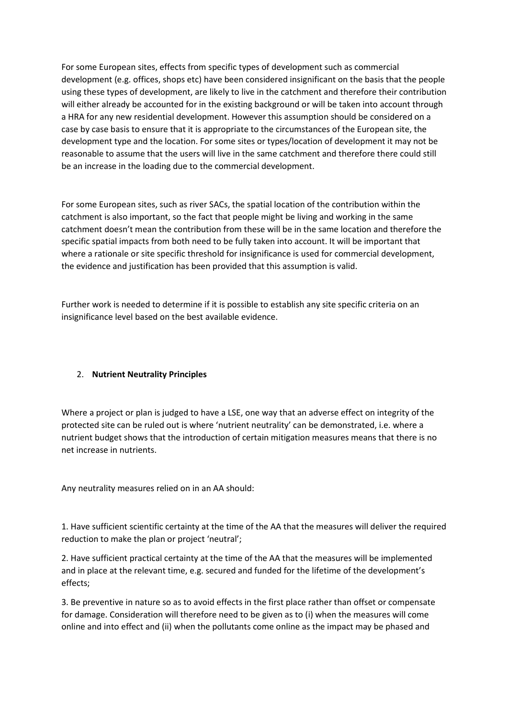For some European sites, effects from specific types of development such as commercial development (e.g. offices, shops etc) have been considered insignificant on the basis that the people using these types of development, are likely to live in the catchment and therefore their contribution will either already be accounted for in the existing background or will be taken into account through a HRA for any new residential development. However this assumption should be considered on a case by case basis to ensure that it is appropriate to the circumstances of the European site, the development type and the location. For some sites or types/location of development it may not be reasonable to assume that the users will live in the same catchment and therefore there could still be an increase in the loading due to the commercial development.

For some European sites, such as river SACs, the spatial location of the contribution within the catchment is also important, so the fact that people might be living and working in the same catchment doesn't mean the contribution from these will be in the same location and therefore the specific spatial impacts from both need to be fully taken into account. It will be important that where a rationale or site specific threshold for insignificance is used for commercial development, the evidence and justification has been provided that this assumption is valid.

Further work is needed to determine if it is possible to establish any site specific criteria on an insignificance level based on the best available evidence.

# 2. Nutrient Neutrality Principles

Where a project or plan is judged to have a LSE, one way that an adverse effect on integrity of the protected site can be ruled out is where 'nutrient neutrality' can be demonstrated, i.e. where a nutrient budget shows that the introduction of certain mitigation measures means that there is no net increase in nutrients.

Any neutrality measures relied on in an AA should:

1. Have sufficient scientific certainty at the time of the AA that the measures will deliver the required reduction to make the plan or project 'neutral';

2. Have sufficient practical certainty at the time of the AA that the measures will be implemented and in place at the relevant time, e.g. secured and funded for the lifetime of the development's effects;

3. Be preventive in nature so as to avoid effects in the first place rather than offset or compensate for damage. Consideration will therefore need to be given as to (i) when the measures will come online and into effect and (ii) when the pollutants come online as the impact may be phased and